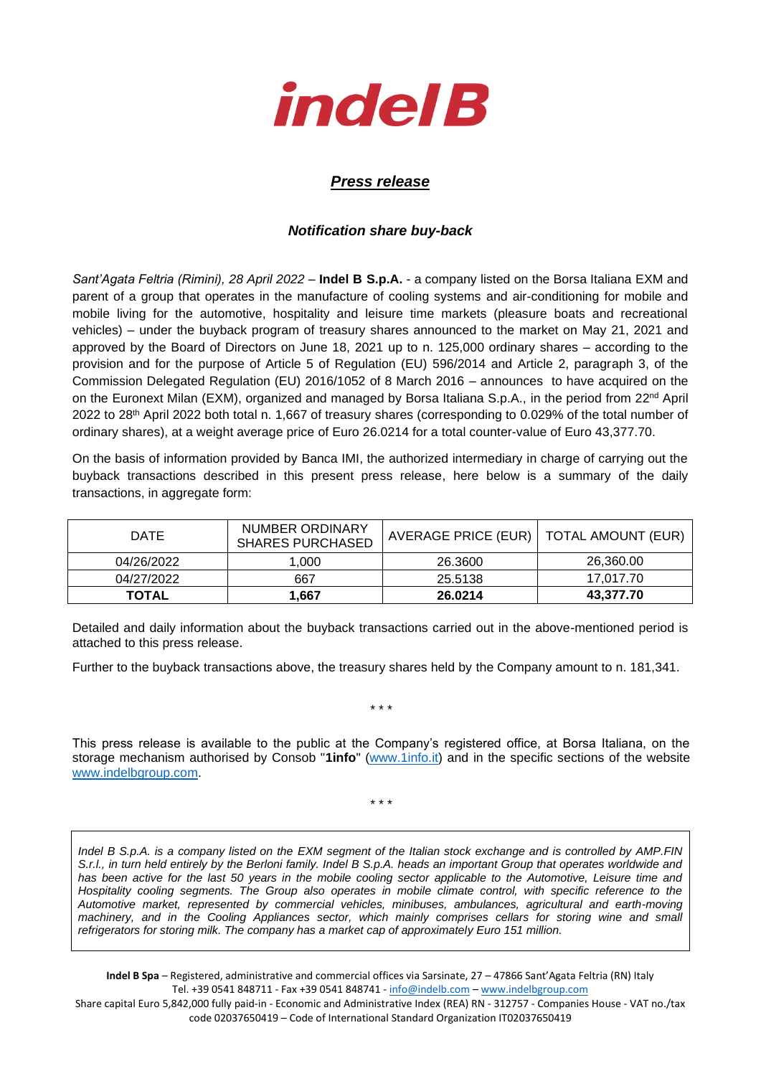

## *Press release*

## *Notification share buy-back*

*Sant'Agata Feltria (Rimini), 28 April 2022* – **Indel B S.p.A.** - a company listed on the Borsa Italiana EXM and parent of a group that operates in the manufacture of cooling systems and air-conditioning for mobile and mobile living for the automotive, hospitality and leisure time markets (pleasure boats and recreational vehicles) – under the buyback program of treasury shares announced to the market on May 21, 2021 and approved by the Board of Directors on June 18, 2021 up to n. 125,000 ordinary shares – according to the provision and for the purpose of Article 5 of Regulation (EU) 596/2014 and Article 2, paragraph 3, of the Commission Delegated Regulation (EU) 2016/1052 of 8 March 2016 – announces to have acquired on the on the Euronext Milan (EXM), organized and managed by Borsa Italiana S.p.A., in the period from 22<sup>nd</sup> April 2022 to 28th April 2022 both total n. 1,667 of treasury shares (corresponding to 0.029% of the total number of ordinary shares), at a weight average price of Euro 26.0214 for a total counter-value of Euro 43,377.70.

On the basis of information provided by Banca IMI, the authorized intermediary in charge of carrying out the buyback transactions described in this present press release, here below is a summary of the daily transactions, in aggregate form:

| <b>DATE</b>  | NUMBER ORDINARY<br><b>SHARES PURCHASED</b> | AVERAGE PRICE (EUR)   TOTAL AMOUNT (EUR) |           |  |
|--------------|--------------------------------------------|------------------------------------------|-----------|--|
| 04/26/2022   | 1.000                                      | 26,3600                                  | 26,360.00 |  |
| 04/27/2022   | 667                                        | 25.5138                                  | 17.017.70 |  |
| <b>TOTAL</b> | 667. ا                                     | 26.0214                                  | 43.377.70 |  |

Detailed and daily information about the buyback transactions carried out in the above-mentioned period is attached to this press release.

Further to the buyback transactions above, the treasury shares held by the Company amount to n. 181,341.

\* \* \*

This press release is available to the public at the Company's registered office, at Borsa Italiana, on the storage mechanism authorised by Consob "**1info**" [\(www.1info.it\)](file:///C:/Users/ddelietovollaro/AppData/Local/Microsoft/Windows/INetCache/Content.Outlook/T87B94UR/www.1info.it) and in the specific sections of the website [www.indelbgroup.com.](http://www.indelbgroup.com/)

\* \* \*

*Indel B S.p.A. is a company listed on the EXM segment of the Italian stock exchange and is controlled by AMP.FIN S.r.l., in turn held entirely by the Berloni family. Indel B S.p.A. heads an important Group that operates worldwide and*  has been active for the last 50 years in the mobile cooling sector applicable to the Automotive, Leisure time and *Hospitality cooling segments. The Group also operates in mobile climate control, with specific reference to the Automotive market, represented by commercial vehicles, minibuses, ambulances, agricultural and earth-moving machinery, and in the Cooling Appliances sector, which mainly comprises cellars for storing wine and small refrigerators for storing milk. The company has a market cap of approximately Euro 151 million.*

**Indel B Spa** – Registered, administrative and commercial offices via Sarsinate, 27 – 47866 Sant'Agata Feltria (RN) Italy Tel. +39 0541 848711 - Fax +39 0541 848741 - [info@indelb.com](mailto:info@indelb.com) – [www.indelbgroup.com](http://www.indelbgroup.com/)

Share capital Euro 5,842,000 fully paid-in - Economic and Administrative Index (REA) RN - 312757 - Companies House - VAT no./tax code 02037650419 – Code of International Standard Organization IT02037650419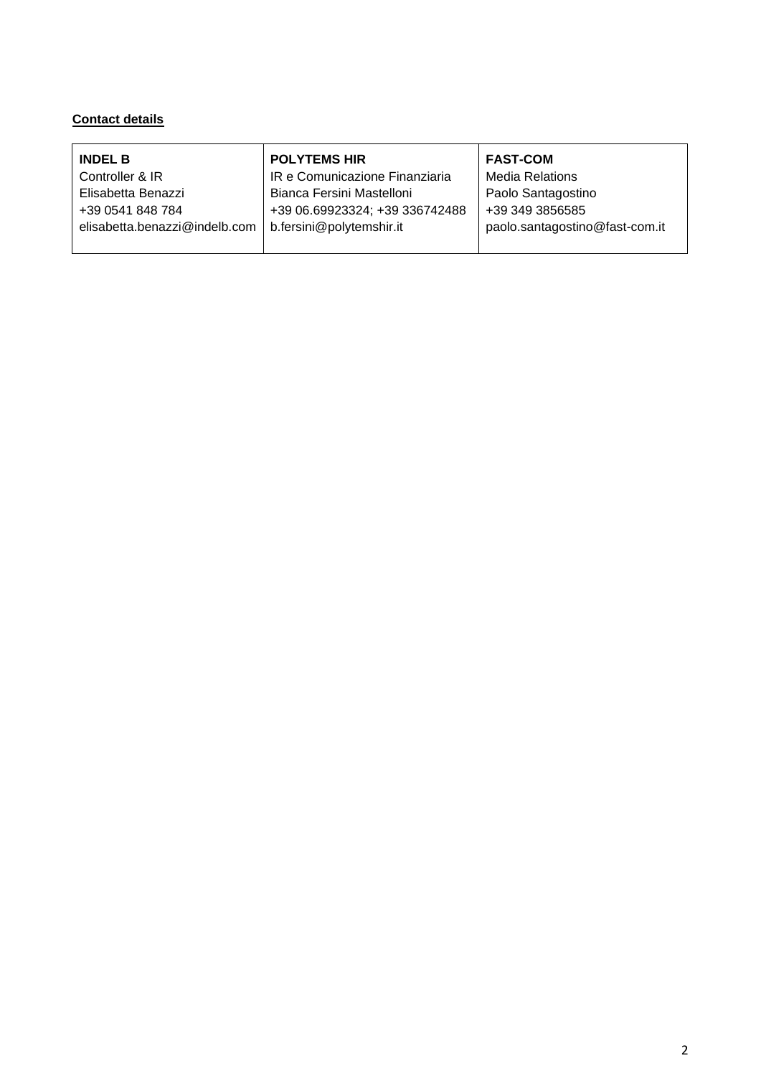## **Contact details**

| <b>INDEL B</b>                | <b>POLYTEMS HIR</b>            | <b>FAST-COM</b>                |
|-------------------------------|--------------------------------|--------------------------------|
| Controller & IR               | IR e Comunicazione Finanziaria | <b>Media Relations</b>         |
| Elisabetta Benazzi            | Bianca Fersini Mastelloni      | Paolo Santagostino             |
| +39 0541 848 784              | +39 06.69923324; +39 336742488 | +39 349 3856585                |
| elisabetta.benazzi@indelb.com | b.fersini@polytemshir.it       | paolo.santagostino@fast-com.it |
|                               |                                |                                |